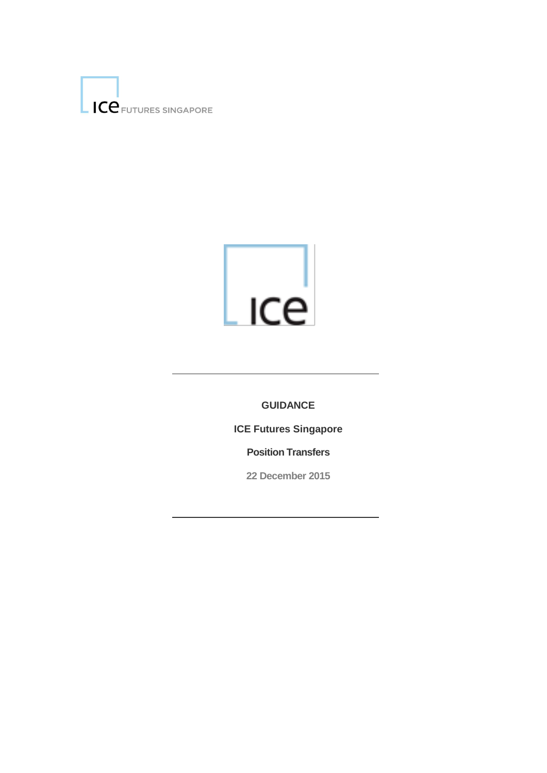

# $\lfloor$ <sub>ICe</sub>

**GUIDANCE**

**ICE Futures Singapore** 

**Position Transfers**

**22 December 2015**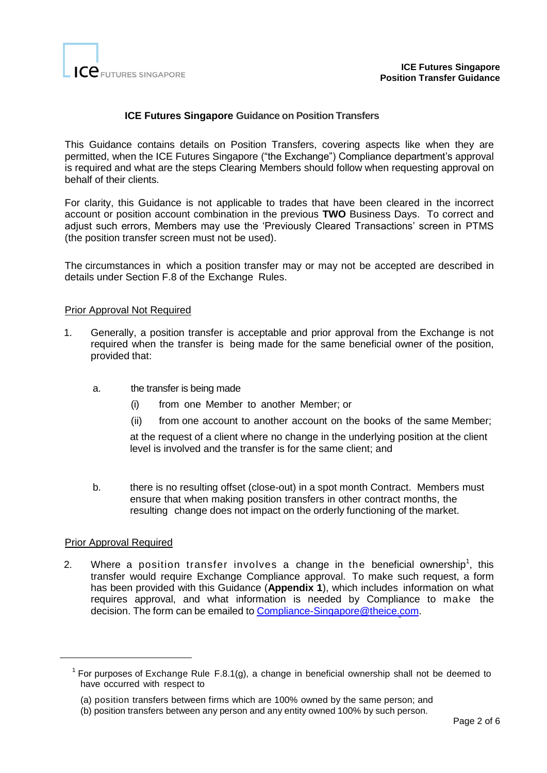

# **ICE Futures Singapore Guidance on Position Transfers**

This Guidance contains details on Position Transfers, covering aspects like when they are permitted, when the ICE Futures Singapore ("the Exchange") Compliance department's approval is required and what are the steps Clearing Members should follow when requesting approval on behalf of their clients.

For clarity, this Guidance is not applicable to trades that have been cleared in the incorrect account or position account combination in the previous **TWO** Business Days. To correct and adjust such errors, Members may use the 'Previously Cleared Transactions' screen in PTMS (the position transfer screen must not be used).

The circumstances in which a position transfer may or may not be accepted are described in details under Section F.8 of the Exchange Rules.

# Prior Approval Not Required

- 1. Generally, a position transfer is acceptable and prior approval from the Exchange is not required when the transfer is being made for the same beneficial owner of the position, provided that:
	- a. the transfer is being made
		- (i) from one Member to another Member; or
		- (ii) from one account to another account on the books of the same Member;

at the request of a client where no change in the underlying position at the client level is involved and the transfer is for the same client; and

b. there is no resulting offset (close-out) in a spot month Contract. Members must ensure that when making position transfers in other contract months, the resulting change does not impact on the orderly functioning of the market.

#### Prior Approval Required

1

2. Where a position transfer involves a change in the beneficial ownership<sup>1</sup>, this transfer would require Exchange Compliance approval. To make such request, a form has been provided with this Guidance (**Appendix 1**), which includes information on what requires approval, and what information is needed by Compliance to make the decision. The form can be emailed to [Compliance-Singapore@theice.com.](mailto:Compliance-Singapore@theice.com)

<sup>&</sup>lt;sup>1</sup> For purposes of Exchange Rule F.8.1(g), a change in beneficial ownership shall not be deemed to have occurred with respect to

<sup>(</sup>a) position transfers between firms which are 100% owned by the same person; and

<sup>(</sup>b) position transfers between any person and any entity owned 100% by such person.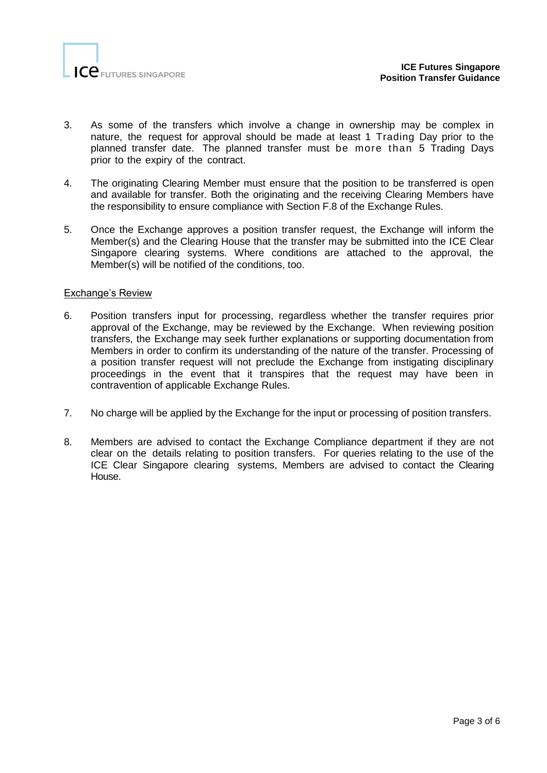

- 3. As some of the transfers which involve a change in ownership may be complex in nature, the request for approval should be made at least 1 Trading Day prior to the planned transfer date. The planned transfer must be more than 5 Trading Days prior to the expiry of the contract.
- 4. The originating Clearing Member must ensure that the position to be transferred is open and available for transfer. Both the originating and the receiving Clearing Members have the responsibility to ensure compliance with Section F.8 of the Exchange Rules.
- 5. Once the Exchange approves a position transfer request, the Exchange will inform the Member(s) and the Clearing House that the transfer may be submitted into the ICE Clear Singapore clearing systems. Where conditions are attached to the approval, the Member(s) will be notified of the conditions, too.

# Exchange's Review

- 6. Position transfers input for processing, regardless whether the transfer requires prior approval of the Exchange, may be reviewed by the Exchange. When reviewing position transfers, the Exchange may seek further explanations or supporting documentation from Members in order to confirm its understanding of the nature of the transfer. Processing of a position transfer request will not preclude the Exchange from instigating disciplinary proceedings in the event that it transpires that the request may have been in contravention of applicable Exchange Rules.
- 7. No charge will be applied by the Exchange for the input or processing of position transfers.
- 8. Members are advised to contact the Exchange Compliance department if they are not clear on the details relating to position transfers. For queries relating to the use of the ICE Clear Singapore clearing systems, Members are advised to contact the Clearing House.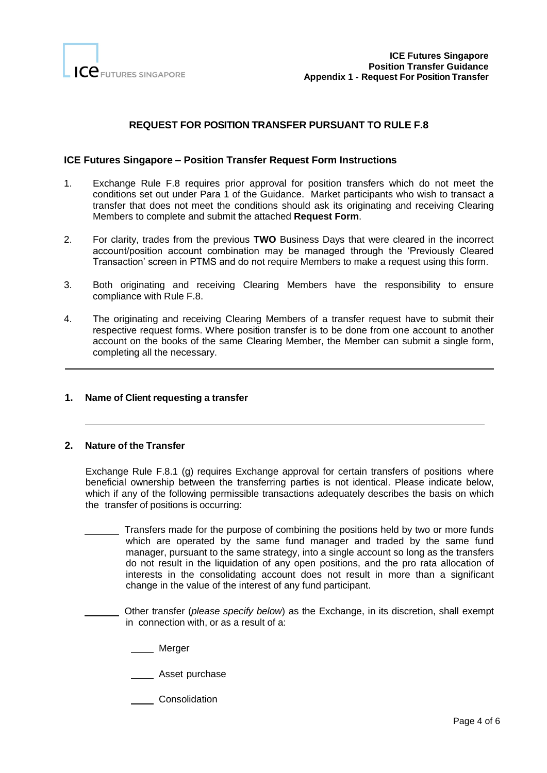

# **REQUEST FOR POSITION TRANSFER PURSUANT TO RULE F.8**

#### **ICE Futures Singapore – Position Transfer Request Form Instructions**

- 1. Exchange Rule F.8 requires prior approval for position transfers which do not meet the conditions set out under Para 1 of the Guidance. Market participants who wish to transact a transfer that does not meet the conditions should ask its originating and receiving Clearing Members to complete and submit the attached **Request Form**.
- 2. For clarity, trades from the previous **TWO** Business Days that were cleared in the incorrect account/position account combination may be managed through the 'Previously Cleared Transaction' screen in PTMS and do not require Members to make a request using this form.
- 3. Both originating and receiving Clearing Members have the responsibility to ensure compliance with Rule F.8.
- 4. The originating and receiving Clearing Members of a transfer request have to submit their respective request forms. Where position transfer is to be done from one account to another account on the books of the same Clearing Member, the Member can submit a single form, completing all the necessary.

#### **1. Name of Client requesting a transfer**

#### **2. Nature of the Transfer**

 $\overline{a}$ 

Exchange Rule F.8.1 (g) requires Exchange approval for certain transfers of positions where beneficial ownership between the transferring parties is not identical. Please indicate below, which if any of the following permissible transactions adequately describes the basis on which the transfer of positions is occurring:

 Transfers made for the purpose of combining the positions held by two or more funds which are operated by the same fund manager and traded by the same fund manager, pursuant to the same strategy, into a single account so long as the transfers do not result in the liquidation of any open positions, and the pro rata allocation of interests in the consolidating account does not result in more than a significant change in the value of the interest of any fund participant.

 Other transfer (*please specify below*) as the Exchange, in its discretion, shall exempt in connection with, or as a result of a:

Merger

**Asset purchase** 

Consolidation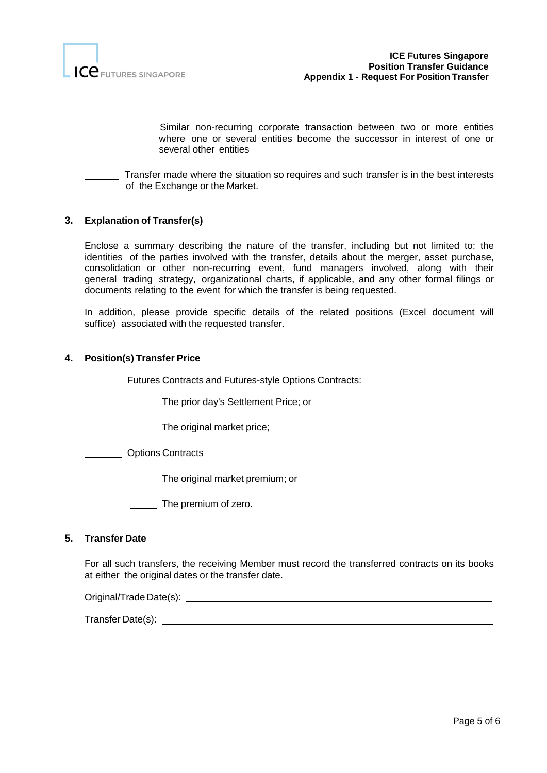

- Similar non-recurring corporate transaction between two or more entities where one or several entities become the successor in interest of one or several other entities
- Transfer made where the situation so requires and such transfer is in the best interests of the Exchange or the Market.

# **3. Explanation of Transfer(s)**

Enclose a summary describing the nature of the transfer, including but not limited to: the identities of the parties involved with the transfer, details about the merger, asset purchase, consolidation or other non-recurring event, fund managers involved, along with their general trading strategy, organizational charts, if applicable, and any other formal filings or documents relating to the event for which the transfer is being requested.

In addition, please provide specific details of the related positions (Excel document will suffice) associated with the requested transfer.

#### **4. Position(s) Transfer Price**

Futures Contracts and Futures-style Options Contracts:

- The prior day's Settlement Price; or
- The original market price;
- Options Contracts
	- **The original market premium; or**
	- The premium of zero.

#### **5. Transfer Date**

For all such transfers, the receiving Member must record the transferred contracts on its books at either the original dates or the transfer date.

Original/Trade Date(s):

Transfer Date(s):